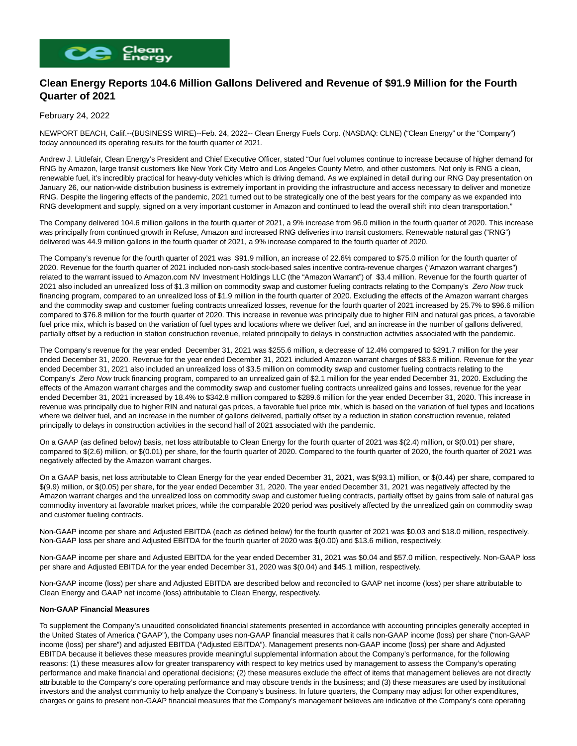

## **Clean Energy Reports 104.6 Million Gallons Delivered and Revenue of \$91.9 Million for the Fourth Quarter of 2021**

## February 24, 2022

NEWPORT BEACH, Calif.--(BUSINESS WIRE)--Feb. 24, 2022-- Clean Energy Fuels Corp. (NASDAQ: CLNE) ("Clean Energy" or the "Company") today announced its operating results for the fourth quarter of 2021.

Andrew J. Littlefair, Clean Energy's President and Chief Executive Officer, stated "Our fuel volumes continue to increase because of higher demand for RNG by Amazon, large transit customers like New York City Metro and Los Angeles County Metro, and other customers. Not only is RNG a clean, renewable fuel, it's incredibly practical for heavy-duty vehicles which is driving demand. As we explained in detail during our RNG Day presentation on January 26, our nation-wide distribution business is extremely important in providing the infrastructure and access necessary to deliver and monetize RNG. Despite the lingering effects of the pandemic, 2021 turned out to be strategically one of the best years for the company as we expanded into RNG development and supply, signed on a very important customer in Amazon and continued to lead the overall shift into clean transportation."

The Company delivered 104.6 million gallons in the fourth quarter of 2021, a 9% increase from 96.0 million in the fourth quarter of 2020. This increase was principally from continued growth in Refuse, Amazon and increased RNG deliveries into transit customers. Renewable natural gas ("RNG") delivered was 44.9 million gallons in the fourth quarter of 2021, a 9% increase compared to the fourth quarter of 2020.

The Company's revenue for the fourth quarter of 2021 was \$91.9 million, an increase of 22.6% compared to \$75.0 million for the fourth quarter of 2020. Revenue for the fourth quarter of 2021 included non-cash stock-based sales incentive contra-revenue charges ("Amazon warrant charges") related to the warrant issued to Amazon.com NV Investment Holdings LLC (the "Amazon Warrant") of \$3.4 million. Revenue for the fourth quarter of 2021 also included an unrealized loss of \$1.3 million on commodity swap and customer fueling contracts relating to the Company's Zero Now truck financing program, compared to an unrealized loss of \$1.9 million in the fourth quarter of 2020. Excluding the effects of the Amazon warrant charges and the commodity swap and customer fueling contracts unrealized losses, revenue for the fourth quarter of 2021 increased by 25.7% to \$96.6 million compared to \$76.8 million for the fourth quarter of 2020. This increase in revenue was principally due to higher RIN and natural gas prices, a favorable fuel price mix, which is based on the variation of fuel types and locations where we deliver fuel, and an increase in the number of gallons delivered, partially offset by a reduction in station construction revenue, related principally to delays in construction activities associated with the pandemic.

The Company's revenue for the year ended December 31, 2021 was \$255.6 million, a decrease of 12.4% compared to \$291.7 million for the year ended December 31, 2020. Revenue for the year ended December 31, 2021 included Amazon warrant charges of \$83.6 million. Revenue for the year ended December 31, 2021 also included an unrealized loss of \$3.5 million on commodity swap and customer fueling contracts relating to the Company's Zero Now truck financing program, compared to an unrealized gain of \$2.1 million for the year ended December 31, 2020. Excluding the effects of the Amazon warrant charges and the commodity swap and customer fueling contracts unrealized gains and losses, revenue for the year ended December 31, 2021 increased by 18.4% to \$342.8 million compared to \$289.6 million for the year ended December 31, 2020. This increase in revenue was principally due to higher RIN and natural gas prices, a favorable fuel price mix, which is based on the variation of fuel types and locations where we deliver fuel, and an increase in the number of gallons delivered, partially offset by a reduction in station construction revenue, related principally to delays in construction activities in the second half of 2021 associated with the pandemic.

On a GAAP (as defined below) basis, net loss attributable to Clean Energy for the fourth quarter of 2021 was \$(2.4) million, or \$(0.01) per share, compared to \$(2.6) million, or \$(0.01) per share, for the fourth quarter of 2020. Compared to the fourth quarter of 2020, the fourth quarter of 2021 was negatively affected by the Amazon warrant charges.

On a GAAP basis, net loss attributable to Clean Energy for the year ended December 31, 2021, was \$(93.1) million, or \$(0.44) per share, compared to \$(9.9) million, or \$(0.05) per share, for the year ended December 31, 2020. The year ended December 31, 2021 was negatively affected by the Amazon warrant charges and the unrealized loss on commodity swap and customer fueling contracts, partially offset by gains from sale of natural gas commodity inventory at favorable market prices, while the comparable 2020 period was positively affected by the unrealized gain on commodity swap and customer fueling contracts.

Non-GAAP income per share and Adjusted EBITDA (each as defined below) for the fourth quarter of 2021 was \$0.03 and \$18.0 million, respectively. Non-GAAP loss per share and Adjusted EBITDA for the fourth quarter of 2020 was \$(0.00) and \$13.6 million, respectively.

Non-GAAP income per share and Adjusted EBITDA for the year ended December 31, 2021 was \$0.04 and \$57.0 million, respectively. Non-GAAP loss per share and Adjusted EBITDA for the year ended December 31, 2020 was \$(0.04) and \$45.1 million, respectively.

Non-GAAP income (loss) per share and Adjusted EBITDA are described below and reconciled to GAAP net income (loss) per share attributable to Clean Energy and GAAP net income (loss) attributable to Clean Energy, respectively.

#### **Non-GAAP Financial Measures**

To supplement the Company's unaudited consolidated financial statements presented in accordance with accounting principles generally accepted in the United States of America ("GAAP"), the Company uses non-GAAP financial measures that it calls non-GAAP income (loss) per share ("non-GAAP income (loss) per share") and adjusted EBITDA ("Adjusted EBITDA"). Management presents non-GAAP income (loss) per share and Adjusted EBITDA because it believes these measures provide meaningful supplemental information about the Company's performance, for the following reasons: (1) these measures allow for greater transparency with respect to key metrics used by management to assess the Company's operating performance and make financial and operational decisions; (2) these measures exclude the effect of items that management believes are not directly attributable to the Company's core operating performance and may obscure trends in the business; and (3) these measures are used by institutional investors and the analyst community to help analyze the Company's business. In future quarters, the Company may adjust for other expenditures, charges or gains to present non-GAAP financial measures that the Company's management believes are indicative of the Company's core operating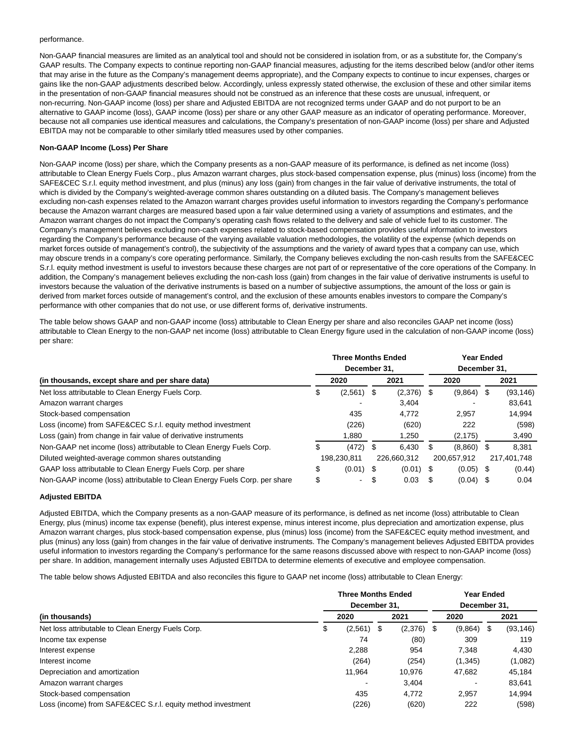#### performance.

Non-GAAP financial measures are limited as an analytical tool and should not be considered in isolation from, or as a substitute for, the Company's GAAP results. The Company expects to continue reporting non-GAAP financial measures, adjusting for the items described below (and/or other items that may arise in the future as the Company's management deems appropriate), and the Company expects to continue to incur expenses, charges or gains like the non-GAAP adjustments described below. Accordingly, unless expressly stated otherwise, the exclusion of these and other similar items in the presentation of non-GAAP financial measures should not be construed as an inference that these costs are unusual, infrequent, or non-recurring. Non-GAAP income (loss) per share and Adjusted EBITDA are not recognized terms under GAAP and do not purport to be an alternative to GAAP income (loss), GAAP income (loss) per share or any other GAAP measure as an indicator of operating performance. Moreover, because not all companies use identical measures and calculations, the Company's presentation of non-GAAP income (loss) per share and Adjusted EBITDA may not be comparable to other similarly titled measures used by other companies.

### **Non-GAAP Income (Loss) Per Share**

Non-GAAP income (loss) per share, which the Company presents as a non-GAAP measure of its performance, is defined as net income (loss) attributable to Clean Energy Fuels Corp., plus Amazon warrant charges, plus stock-based compensation expense, plus (minus) loss (income) from the SAFE&CEC S.r.l. equity method investment, and plus (minus) any loss (gain) from changes in the fair value of derivative instruments, the total of which is divided by the Company's weighted-average common shares outstanding on a diluted basis. The Company's management believes excluding non-cash expenses related to the Amazon warrant charges provides useful information to investors regarding the Company's performance because the Amazon warrant charges are measured based upon a fair value determined using a variety of assumptions and estimates, and the Amazon warrant charges do not impact the Company's operating cash flows related to the delivery and sale of vehicle fuel to its customer. The Company's management believes excluding non-cash expenses related to stock-based compensation provides useful information to investors regarding the Company's performance because of the varying available valuation methodologies, the volatility of the expense (which depends on market forces outside of management's control), the subjectivity of the assumptions and the variety of award types that a company can use, which may obscure trends in a company's core operating performance. Similarly, the Company believes excluding the non-cash results from the SAFE&CEC S.r.l. equity method investment is useful to investors because these charges are not part of or representative of the core operations of the Company. In addition, the Company's management believes excluding the non-cash loss (gain) from changes in the fair value of derivative instruments is useful to investors because the valuation of the derivative instruments is based on a number of subjective assumptions, the amount of the loss or gain is derived from market forces outside of management's control, and the exclusion of these amounts enables investors to compare the Company's performance with other companies that do not use, or use different forms of, derivative instruments.

The table below shows GAAP and non-GAAP income (loss) attributable to Clean Energy per share and also reconciles GAAP net income (loss) attributable to Clean Energy to the non-GAAP net income (loss) attributable to Clean Energy figure used in the calculation of non-GAAP income (loss) per share:

|                                                                           | <b>Three Months Ended</b> |              |      |              |              | <b>Year Ended</b> |      |             |  |  |
|---------------------------------------------------------------------------|---------------------------|--------------|------|--------------|--------------|-------------------|------|-------------|--|--|
|                                                                           |                           | December 31. |      |              | December 31. |                   |      |             |  |  |
| (in thousands, except share and per share data)                           |                           | 2020         | 2021 |              | 2020         |                   |      | 2021        |  |  |
| Net loss attributable to Clean Energy Fuels Corp.                         | S                         | (2,561)      | \$   | $(2,376)$ \$ |              | (9,864)           | £.   | (93, 146)   |  |  |
| Amazon warrant charges                                                    |                           |              |      | 3.404        |              |                   |      | 83.641      |  |  |
| Stock-based compensation                                                  |                           | 435          |      | 4.772        |              | 2.957             |      | 14,994      |  |  |
| Loss (income) from SAFE&CEC S.r.l. equity method investment               |                           | (226)        |      | (620)        |              | 222               |      | (598)       |  |  |
| Loss (gain) from change in fair value of derivative instruments           |                           | 1,880        |      | 1,250        |              | (2, 175)          |      | 3,490       |  |  |
| Non-GAAP net income (loss) attributable to Clean Energy Fuels Corp.       |                           | (472)        | \$   | 6.430        |              | (8,860)           | \$   | 8,381       |  |  |
| Diluted weighted-average common shares outstanding                        |                           | 198.230.811  |      | 226.660.312  |              | 200.657.912       |      | 217.401.748 |  |  |
| GAAP loss attributable to Clean Energy Fuels Corp. per share              | \$                        | $(0.01)$ \$  |      | $(0.01)$ \$  |              | (0.05)            | - \$ | (0.44)      |  |  |
| Non-GAAP income (loss) attributable to Clean Energy Fuels Corp. per share | \$                        | $\sim$       | S    | 0.03         | \$.          | (0.04)            |      | 0.04        |  |  |

### **Adjusted EBITDA**

Adjusted EBITDA, which the Company presents as a non-GAAP measure of its performance, is defined as net income (loss) attributable to Clean Energy, plus (minus) income tax expense (benefit), plus interest expense, minus interest income, plus depreciation and amortization expense, plus Amazon warrant charges, plus stock-based compensation expense, plus (minus) loss (income) from the SAFE&CEC equity method investment, and plus (minus) any loss (gain) from changes in the fair value of derivative instruments. The Company's management believes Adjusted EBITDA provides useful information to investors regarding the Company's performance for the same reasons discussed above with respect to non-GAAP income (loss) per share. In addition, management internally uses Adjusted EBITDA to determine elements of executive and employee compensation.

The table below shows Adjusted EBITDA and also reconciles this figure to GAAP net income (loss) attributable to Clean Energy:

|                                                             |              | <b>Three Months Ended</b> |    |         |              |         | <b>Year Ended</b> |           |  |  |  |  |
|-------------------------------------------------------------|--------------|---------------------------|----|---------|--------------|---------|-------------------|-----------|--|--|--|--|
|                                                             | December 31. |                           |    |         | December 31. |         |                   |           |  |  |  |  |
| (in thousands)                                              |              | 2020                      |    | 2021    |              | 2020    |                   | 2021      |  |  |  |  |
| Net loss attributable to Clean Energy Fuels Corp.           | æ            | (2,561)                   | \$ | (2,376) | - \$         | (9,864) | - \$              | (93, 146) |  |  |  |  |
| Income tax expense                                          |              | 74                        |    | (80)    |              | 309     |                   | 119       |  |  |  |  |
| Interest expense                                            |              | 2.288                     |    | 954     |              | 7.348   |                   | 4,430     |  |  |  |  |
| Interest income                                             |              | (264)                     |    | (254)   |              | (1,345) |                   | (1,082)   |  |  |  |  |
| Depreciation and amortization                               |              | 11,964                    |    | 10,976  |              | 47,682  |                   | 45,184    |  |  |  |  |
| Amazon warrant charges                                      |              |                           |    | 3.404   |              |         |                   | 83.641    |  |  |  |  |
| Stock-based compensation                                    |              | 435                       |    | 4.772   |              | 2.957   |                   | 14,994    |  |  |  |  |
| Loss (income) from SAFE&CEC S.r.l. equity method investment |              | (226)                     |    | (620)   |              | 222     |                   | (598)     |  |  |  |  |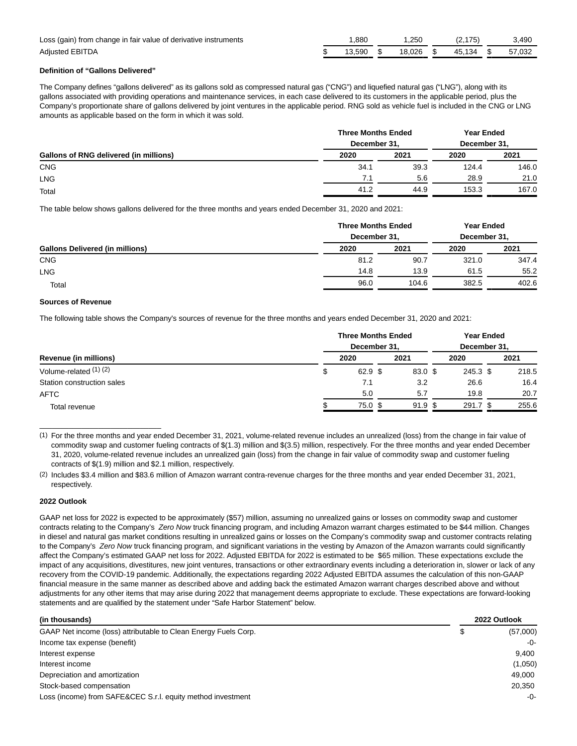| Loss (gain) from change in fair value of derivative instruments | .880   | .250   |        | 3.490  |
|-----------------------------------------------------------------|--------|--------|--------|--------|
| <b>Adiusted EBITDA</b>                                          | 13.590 | 18.026 | 45.134 | 57.032 |

## **Definition of "Gallons Delivered"**

The Company defines "gallons delivered" as its gallons sold as compressed natural gas ("CNG") and liquefied natural gas ("LNG"), along with its gallons associated with providing operations and maintenance services, in each case delivered to its customers in the applicable period, plus the Company's proportionate share of gallons delivered by joint ventures in the applicable period. RNG sold as vehicle fuel is included in the CNG or LNG amounts as applicable based on the form in which it was sold.

| Gallons of RNG delivered (in millions) | <b>Three Months Ended</b><br>December 31. |      | <b>Year Ended</b><br>December 31, |       |  |
|----------------------------------------|-------------------------------------------|------|-----------------------------------|-------|--|
|                                        | 2020                                      | 2021 | 2020                              | 2021  |  |
| <b>CNG</b>                             | 34.1                                      | 39.3 | 124.4                             | 146.0 |  |
| <b>LNG</b>                             | 7.1                                       | 5.6  | 28.9                              | 21.0  |  |
| Total                                  | 41.2                                      | 44.9 | 153.3                             | 167.0 |  |

The table below shows gallons delivered for the three months and years ended December 31, 2020 and 2021:

|                                        | <b>Three Months Ended</b><br>December 31, |       | <b>Year Ended</b><br>December 31, |       |  |
|----------------------------------------|-------------------------------------------|-------|-----------------------------------|-------|--|
| <b>Gallons Delivered (in millions)</b> | 2020                                      | 2021  | 2020                              | 2021  |  |
| <b>CNG</b>                             | 81.2                                      | 90.7  | 321.0                             | 347.4 |  |
| <b>LNG</b>                             | 14.8                                      | 13.9  | 61.5                              | 55.2  |  |
| Total                                  | 96.0                                      | 104.6 | 382.5                             | 402.6 |  |

### **Sources of Revenue**

\_\_\_\_\_\_\_\_\_\_\_\_\_\_\_\_\_\_\_\_\_\_\_\_\_\_\_\_\_

The following table shows the Company's sources of revenue for the three months and years ended December 31, 2020 and 2021:

| Revenue (in millions)<br>Volume-related (1) (2) | <b>Three Months Ended</b><br>December 31. |           |  |            |  | <b>Year Ended</b><br>December 31. |
|-------------------------------------------------|-------------------------------------------|-----------|--|------------|--|-----------------------------------|
|                                                 | 2020                                      | 2021      |  | 2020       |  | 2021                              |
|                                                 | $62.9$ \$                                 | 83.0 \$   |  | 245.3 \$   |  | 218.5                             |
| Station construction sales                      | 7.1                                       | 3.2       |  | 26.6       |  | 16.4                              |
| AFTC                                            | 5.0                                       | 5.7       |  | 19.8       |  | 20.7                              |
| Total revenue                                   | 75.0 <sup>5</sup>                         | $91.9$ \$ |  | $291.7$ \$ |  | 255.6                             |

(1) For the three months and year ended December 31, 2021, volume-related revenue includes an unrealized (loss) from the change in fair value of commodity swap and customer fueling contracts of \$(1.3) million and \$(3.5) million, respectively. For the three months and year ended December 31, 2020, volume-related revenue includes an unrealized gain (loss) from the change in fair value of commodity swap and customer fueling contracts of \$(1.9) million and \$2.1 million, respectively.

(2) Includes \$3.4 million and \$83.6 million of Amazon warrant contra-revenue charges for the three months and year ended December 31, 2021, respectively.

### **2022 Outlook**

GAAP net loss for 2022 is expected to be approximately (\$57) million, assuming no unrealized gains or losses on commodity swap and customer contracts relating to the Company's Zero Now truck financing program, and including Amazon warrant charges estimated to be \$44 million. Changes in diesel and natural gas market conditions resulting in unrealized gains or losses on the Company's commodity swap and customer contracts relating to the Company's Zero Now truck financing program, and significant variations in the vesting by Amazon of the Amazon warrants could significantly affect the Company's estimated GAAP net loss for 2022. Adjusted EBITDA for 2022 is estimated to be \$65 million. These expectations exclude the impact of any acquisitions, divestitures, new joint ventures, transactions or other extraordinary events including a deterioration in, slower or lack of any recovery from the COVID-19 pandemic. Additionally, the expectations regarding 2022 Adjusted EBITDA assumes the calculation of this non-GAAP financial measure in the same manner as described above and adding back the estimated Amazon warrant charges described above and without adjustments for any other items that may arise during 2022 that management deems appropriate to exclude. These expectations are forward-looking statements and are qualified by the statement under "Safe Harbor Statement" below.

| (in thousands)                                                  | 2022 Outlook   |
|-----------------------------------------------------------------|----------------|
| GAAP Net income (loss) attributable to Clean Energy Fuels Corp. | \$<br>(57,000) |
| Income tax expense (benefit)                                    | -0-            |
| Interest expense                                                | 9.400          |
| Interest income                                                 | (1,050)        |
| Depreciation and amortization                                   | 49.000         |
| Stock-based compensation                                        | 20.350         |
| Loss (income) from SAFE&CEC S.r.l. equity method investment     | $-0-$          |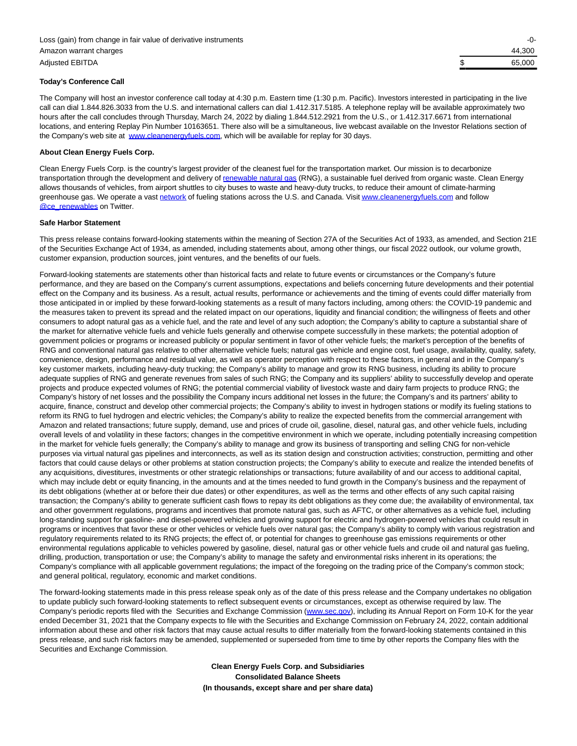#### **Today's Conference Call**

The Company will host an investor conference call today at 4:30 p.m. Eastern time (1:30 p.m. Pacific). Investors interested in participating in the live call can dial 1.844.826.3033 from the U.S. and international callers can dial 1.412.317.5185. A telephone replay will be available approximately two hours after the call concludes through Thursday, March 24, 2022 by dialing 1.844.512.2921 from the U.S., or 1.412.317.6671 from international locations, and entering Replay Pin Number 10163651. There also will be a simultaneous, live webcast available on the Investor Relations section of the Company's web site at [www.cleanenergyfuels.com,](https://cts.businesswire.com/ct/CT?id=smartlink&url=http%3A%2F%2Fwww.cleanenergyfuels.com&esheet=52584630&newsitemid=20220223006282&lan=en-US&anchor=www.cleanenergyfuels.com&index=1&md5=7e52c8033f1e86b843d80da978ca1d0b) which will be available for replay for 30 days.

#### **About Clean Energy Fuels Corp.**

Clean Energy Fuels Corp. is the country's largest provider of the cleanest fuel for the transportation market. Our mission is to decarbonize transportation through the development and delivery of [renewable natural gas \(](https://cts.businesswire.com/ct/CT?id=smartlink&url=https%3A%2F%2Fwww.cleanenergyfuels.com%2F%23why-rng&esheet=52584630&newsitemid=20220223006282&lan=en-US&anchor=renewable+natural+gas&index=2&md5=fd7527238ca4d51a1e6000c8b43ac23e)RNG), a sustainable fuel derived from organic waste. Clean Energy allows thousands of vehicles, from airport shuttles to city buses to waste and heavy-duty trucks, to reduce their amount of climate-harming greenhouse gas. We operate a vast [network o](https://cts.businesswire.com/ct/CT?id=smartlink&url=https%3A%2F%2Fwww.cnglngstations.com%2F&esheet=52584630&newsitemid=20220223006282&lan=en-US&anchor=network&index=3&md5=6ddd75a9deb920b913d1bf9e1561574d)f fueling stations across the U.S. and Canada. Visi[t www.cleanenergyfuels.com a](https://cts.businesswire.com/ct/CT?id=smartlink&url=https%3A%2F%2Fwww.cleanenergyfuels.com%2F&esheet=52584630&newsitemid=20220223006282&lan=en-US&anchor=www.cleanenergyfuels.com&index=4&md5=c9971c9d6c7462bda7f805878614cc69)nd follow **[@ce\\_renewables o](https://cts.businesswire.com/ct/CT?id=smartlink&url=https%3A%2F%2Fmobile.twitter.com%2Fce_renewables&esheet=52584630&newsitemid=20220223006282&lan=en-US&anchor=%40ce_renewables&index=5&md5=ab3fbef8df7f099c8db12f3d5b028e97)n Twitter.** 

#### **Safe Harbor Statement**

This press release contains forward-looking statements within the meaning of Section 27A of the Securities Act of 1933, as amended, and Section 21E of the Securities Exchange Act of 1934, as amended, including statements about, among other things, our fiscal 2022 outlook, our volume growth, customer expansion, production sources, joint ventures, and the benefits of our fuels.

Forward-looking statements are statements other than historical facts and relate to future events or circumstances or the Company's future performance, and they are based on the Company's current assumptions, expectations and beliefs concerning future developments and their potential effect on the Company and its business. As a result, actual results, performance or achievements and the timing of events could differ materially from those anticipated in or implied by these forward-looking statements as a result of many factors including, among others: the COVID-19 pandemic and the measures taken to prevent its spread and the related impact on our operations, liquidity and financial condition; the willingness of fleets and other consumers to adopt natural gas as a vehicle fuel, and the rate and level of any such adoption; the Company's ability to capture a substantial share of the market for alternative vehicle fuels and vehicle fuels generally and otherwise compete successfully in these markets; the potential adoption of government policies or programs or increased publicity or popular sentiment in favor of other vehicle fuels; the market's perception of the benefits of RNG and conventional natural gas relative to other alternative vehicle fuels; natural gas vehicle and engine cost, fuel usage, availability, quality, safety, convenience, design, performance and residual value, as well as operator perception with respect to these factors, in general and in the Company's key customer markets, including heavy-duty trucking; the Company's ability to manage and grow its RNG business, including its ability to procure adequate supplies of RNG and generate revenues from sales of such RNG; the Company and its suppliers' ability to successfully develop and operate projects and produce expected volumes of RNG; the potential commercial viability of livestock waste and dairy farm projects to produce RNG; the Company's history of net losses and the possibility the Company incurs additional net losses in the future; the Company's and its partners' ability to acquire, finance, construct and develop other commercial projects; the Company's ability to invest in hydrogen stations or modify its fueling stations to reform its RNG to fuel hydrogen and electric vehicles; the Company's ability to realize the expected benefits from the commercial arrangement with Amazon and related transactions; future supply, demand, use and prices of crude oil, gasoline, diesel, natural gas, and other vehicle fuels, including overall levels of and volatility in these factors; changes in the competitive environment in which we operate, including potentially increasing competition in the market for vehicle fuels generally; the Company's ability to manage and grow its business of transporting and selling CNG for non-vehicle purposes via virtual natural gas pipelines and interconnects, as well as its station design and construction activities; construction, permitting and other factors that could cause delays or other problems at station construction projects; the Company's ability to execute and realize the intended benefits of any acquisitions, divestitures, investments or other strategic relationships or transactions; future availability of and our access to additional capital, which may include debt or equity financing, in the amounts and at the times needed to fund growth in the Company's business and the repayment of its debt obligations (whether at or before their due dates) or other expenditures, as well as the terms and other effects of any such capital raising transaction; the Company's ability to generate sufficient cash flows to repay its debt obligations as they come due; the availability of environmental, tax and other government regulations, programs and incentives that promote natural gas, such as AFTC, or other alternatives as a vehicle fuel, including long-standing support for gasoline- and diesel-powered vehicles and growing support for electric and hydrogen-powered vehicles that could result in programs or incentives that favor these or other vehicles or vehicle fuels over natural gas; the Company's ability to comply with various registration and regulatory requirements related to its RNG projects; the effect of, or potential for changes to greenhouse gas emissions requirements or other environmental regulations applicable to vehicles powered by gasoline, diesel, natural gas or other vehicle fuels and crude oil and natural gas fueling, drilling, production, transportation or use; the Company's ability to manage the safety and environmental risks inherent in its operations; the Company's compliance with all applicable government regulations; the impact of the foregoing on the trading price of the Company's common stock; and general political, regulatory, economic and market conditions.

The forward-looking statements made in this press release speak only as of the date of this press release and the Company undertakes no obligation to update publicly such forward-looking statements to reflect subsequent events or circumstances, except as otherwise required by law. The Company's periodic reports filed with the Securities and Exchange Commission [\(www.sec.gov\),](https://cts.businesswire.com/ct/CT?id=smartlink&url=http%3A%2F%2Fwww.sec.gov&esheet=52584630&newsitemid=20220223006282&lan=en-US&anchor=www.sec.gov&index=6&md5=cb5aa341723a993d648c35f13d68414b) including its Annual Report on Form 10-K for the year ended December 31, 2021 that the Company expects to file with the Securities and Exchange Commission on February 24, 2022, contain additional information about these and other risk factors that may cause actual results to differ materially from the forward-looking statements contained in this press release, and such risk factors may be amended, supplemented or superseded from time to time by other reports the Company files with the Securities and Exchange Commission.

> **Clean Energy Fuels Corp. and Subsidiaries Consolidated Balance Sheets (In thousands, except share and per share data)**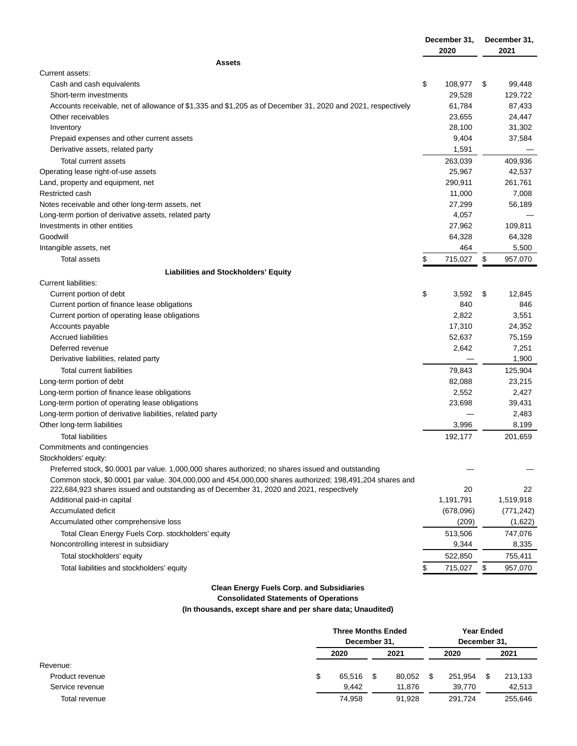|                                                                                                                | December 31,  |    | December 31,    |  |
|----------------------------------------------------------------------------------------------------------------|---------------|----|-----------------|--|
|                                                                                                                | 2020          |    | 2021            |  |
| <b>Assets</b>                                                                                                  |               |    |                 |  |
| Current assets:                                                                                                |               |    |                 |  |
| Cash and cash equivalents                                                                                      | \$<br>108,977 | \$ | 99,448          |  |
| Short-term investments                                                                                         | 29,528        |    | 129,722         |  |
| Accounts receivable, net of allowance of \$1,335 and \$1,205 as of December 31, 2020 and 2021, respectively    | 61,784        |    | 87,433          |  |
| Other receivables                                                                                              | 23,655        |    | 24,447          |  |
| Inventory                                                                                                      | 28,100        |    | 31,302          |  |
| Prepaid expenses and other current assets                                                                      | 9,404         |    | 37,584          |  |
| Derivative assets, related party                                                                               | 1,591         |    |                 |  |
| Total current assets                                                                                           | 263,039       |    | 409,936         |  |
| Operating lease right-of-use assets                                                                            | 25,967        |    | 42,537          |  |
| Land, property and equipment, net                                                                              | 290,911       |    | 261,761         |  |
| Restricted cash                                                                                                | 11,000        |    | 7,008           |  |
| Notes receivable and other long-term assets, net                                                               | 27,299        |    | 56,189          |  |
| Long-term portion of derivative assets, related party                                                          | 4,057         |    |                 |  |
| Investments in other entities                                                                                  | 27,962        |    | 109,811         |  |
| Goodwill                                                                                                       | 64,328        |    | 64,328          |  |
| Intangible assets, net                                                                                         | 464           |    | 5,500           |  |
| Total assets                                                                                                   | \$<br>715,027 | \$ | 957,070         |  |
| <b>Liabilities and Stockholders' Equity</b>                                                                    |               |    |                 |  |
| Current liabilities:                                                                                           |               |    |                 |  |
| Current portion of debt                                                                                        | \$<br>3,592   | \$ | 12,845          |  |
| Current portion of finance lease obligations                                                                   | 840           |    | 846             |  |
| Current portion of operating lease obligations                                                                 | 2,822         |    | 3,551           |  |
| Accounts payable                                                                                               | 17,310        |    | 24,352          |  |
| <b>Accrued liabilities</b>                                                                                     | 52,637        |    | 75,159          |  |
| Deferred revenue                                                                                               | 2,642         |    | 7,251           |  |
| Derivative liabilities, related party                                                                          |               |    | 1,900           |  |
| Total current liabilities                                                                                      | 79,843        |    | 125,904         |  |
| Long-term portion of debt                                                                                      | 82,088        |    | 23,215          |  |
| Long-term portion of finance lease obligations                                                                 | 2,552         |    | 2,427           |  |
|                                                                                                                | 23,698        |    |                 |  |
| Long-term portion of operating lease obligations<br>Long-term portion of derivative liabilities, related party |               |    | 39,431<br>2,483 |  |
| Other long-term liabilities                                                                                    | 3,996         |    | 8,199           |  |
|                                                                                                                |               |    |                 |  |
| <b>Total liabilities</b>                                                                                       | 192,177       |    | 201,659         |  |
| Commitments and contingencies                                                                                  |               |    |                 |  |
| Stockholders' equity:                                                                                          |               |    |                 |  |
| Preferred stock, \$0.0001 par value. 1,000,000 shares authorized; no shares issued and outstanding             |               |    |                 |  |
| Common stock, \$0.0001 par value. 304,000,000 and 454,000,000 shares authorized; 198,491,204 shares and        |               |    |                 |  |
| 222,684,923 shares issued and outstanding as of December 31, 2020 and 2021, respectively                       | 20            |    | 22              |  |
| Additional paid-in capital                                                                                     | 1,191,791     |    | 1,519,918       |  |
| Accumulated deficit                                                                                            | (678,096)     |    | (771, 242)      |  |
| Accumulated other comprehensive loss                                                                           | (209)         |    | (1,622)         |  |
| Total Clean Energy Fuels Corp. stockholders' equity                                                            | 513,506       |    | 747,076         |  |
| Noncontrolling interest in subsidiary                                                                          | 9,344         |    | 8,335           |  |
| Total stockholders' equity                                                                                     | 522,850       |    | 755,411         |  |
| Total liabilities and stockholders' equity                                                                     | 715,027       | \$ | 957,070         |  |
|                                                                                                                |               |    |                 |  |

# **Clean Energy Fuels Corp. and Subsidiaries**

**Consolidated Statements of Operations**

**(In thousands, except share and per share data; Unaudited)**

|                 |    | <b>Three Months Ended</b><br>December 31, |    |        |      | <b>Year Ended</b> |  |         |  |
|-----------------|----|-------------------------------------------|----|--------|------|-------------------|--|---------|--|
|                 |    |                                           |    |        |      | December 31.      |  |         |  |
|                 |    | 2020                                      |    | 2021   |      | 2020              |  | 2021    |  |
| Revenue:        |    |                                           |    |        |      |                   |  |         |  |
| Product revenue | \$ | 65.516                                    | \$ | 80.052 | - \$ | 251.954           |  | 213,133 |  |
| Service revenue |    | 9.442                                     |    | 11.876 |      | 39.770            |  | 42,513  |  |
| Total revenue   |    | 74.958                                    |    | 91.928 |      | 291.724           |  | 255,646 |  |